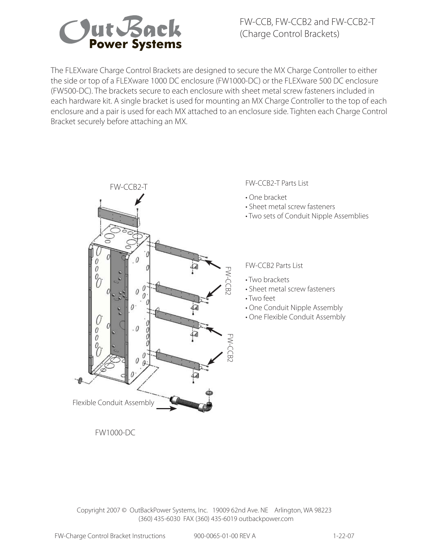

FW-CCB, FW-CCB2 and FW-CCB2-T (Charge Control Brackets)

The FLEXware Charge Control Brackets are designed to secure the MX Charge Controller to either the side or top of a FLEXware 1000 DC enclosure (FW1000-DC) or the FLEXware 500 DC enclosure (FW500-DC). The brackets secure to each enclosure with sheet metal screw fasteners included in each hardware kit. A single bracket is used for mounting an MX Charge Controller to the top of each enclosure and a pair is used for each MX attached to an enclosure side. Tighten each Charge Control Bracket securely before attaching an MX.



FW-CCB2-T Parts List

- One bracket
- Sheet metal screw fasteners
- Two sets of Conduit Nipple Assemblies

FW-CCB2 Parts List

- Two brackets
- Sheet metal screw fasteners
- Two feet
- One Conduit Nipple Assembly
- One Flexible Conduit Assembly

FW1000-DC

 Copyright 2007 © OutBackPower Systems, Inc. 19009 62nd Ave. NE Arlington, WA 98223 (360) 435-6030 FAX (360) 435-6019 outbackpower.com